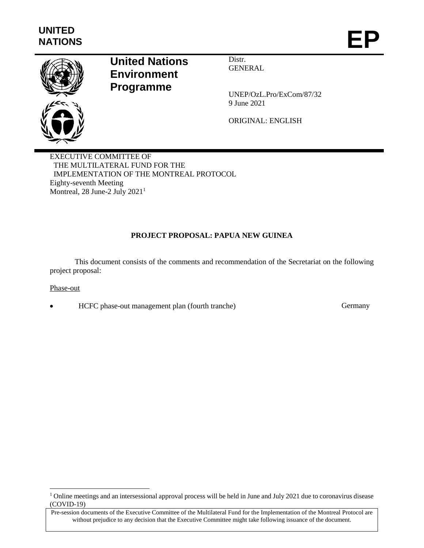

# **United Nations Environment Programme**

Distr. **GENERAL** 

UNEP/OzL.Pro/ExCom/87/32 9 June 2021

ORIGINAL: ENGLISH

EXECUTIVE COMMITTEE OF THE MULTILATERAL FUND FOR THE IMPLEMENTATION OF THE MONTREAL PROTOCOL Eighty-seventh Meeting Montreal, 28 June-2 July 2021<sup>1</sup>

# **PROJECT PROPOSAL: PAPUA NEW GUINEA**

This document consists of the comments and recommendation of the Secretariat on the following project proposal:

# Phase-out

l

HCFC phase-out management plan (fourth tranche) Germany

<sup>&</sup>lt;sup>1</sup> Online meetings and an intersessional approval process will be held in June and July 2021 due to coronavirus disease (COVID-19)

Pre-session documents of the Executive Committee of the Multilateral Fund for the Implementation of the Montreal Protocol are without prejudice to any decision that the Executive Committee might take following issuance of the document.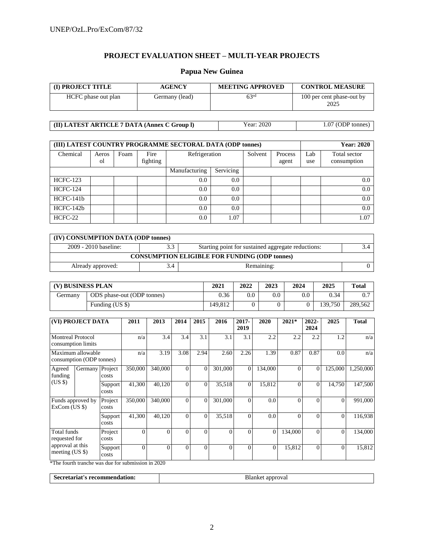# **PROJECT EVALUATION SHEET – MULTI-YEAR PROJECTS**

# **Papua New Guinea**

| (I) PROJECT TITLE   | <b>AGENCY</b>  | <b>MEETING APPROVED</b> | <b>CONTROL MEASURE</b>            |
|---------------------|----------------|-------------------------|-----------------------------------|
| HCFC phase out plan | Germany (lead) | 63 <sup>rd</sup>        | 100 per cent phase-out by<br>2025 |

| (II) LATEST ARTICLE 7 DATA (Annex C Group I) | Year: 2020 | $1.07$ (ODP tonnes) |
|----------------------------------------------|------------|---------------------|
|----------------------------------------------|------------|---------------------|

| (III) LATEST COUNTRY PROGRAMME SECTORAL DATA (ODP tonnes) | <b>Year: 2020</b> |      |                  |               |           |         |                  |            |                             |
|-----------------------------------------------------------|-------------------|------|------------------|---------------|-----------|---------|------------------|------------|-----------------------------|
| Chemical                                                  | Aeros<br>οl       | Foam | Fire<br>fighting | Refrigeration |           | Solvent | Process<br>agent | Lab<br>use | Total sector<br>consumption |
|                                                           |                   |      |                  | Manufacturing | Servicing |         |                  |            |                             |
| <b>HCFC-123</b>                                           |                   |      |                  | 0.0           | 0.0       |         |                  |            | 0.0                         |
| <b>HCFC-124</b>                                           |                   |      |                  | 0.0           | 0.0       |         |                  |            | 0.0                         |
| $HCFC-141b$                                               |                   |      |                  | 0.0           | 0.0       |         |                  |            | 0.0                         |
| HCFC-142b                                                 |                   |      |                  | 0.0           | 0.0       |         |                  |            | 0.0                         |
| HCFC-22                                                   |                   |      |                  | 0.0           | 1.07      |         |                  |            | 1.07                        |

| (IV) CONSUMPTION DATA (ODP tonnes)                   |     |                                                    |  |  |  |  |
|------------------------------------------------------|-----|----------------------------------------------------|--|--|--|--|
| 2009 - 2010 baseline:                                | 3.3 | Starting point for sustained aggregate reductions: |  |  |  |  |
| <b>CONSUMPTION ELIGIBLE FOR FUNDING (ODP tonnes)</b> |     |                                                    |  |  |  |  |
| Already approved:                                    | 3.4 | Remaining:                                         |  |  |  |  |

| (V) BUSINESS PLAN |                            | 2021    | 2022    | 2023    | 2024    | 2025    | <b>Total</b> |
|-------------------|----------------------------|---------|---------|---------|---------|---------|--------------|
| Germanv           | ODS phase-out (ODP tonnes) | 0.36    | $0.0\,$ | $0.0\,$ | $0.0\,$ | 0.34    |              |
|                   | Funding (US \$)            | 149.812 |         |         |         | 139.750 | 289.562      |

|                                                                                                                  | (VI) PROJECT DATA                                          |                                               | 2011                                                  | 2013                     | 2014     | 2015     | 2016     | $2017 -$<br>2019 | 2020           | 2021*    | 2022-<br>2024  | 2025           | <b>Total</b> |
|------------------------------------------------------------------------------------------------------------------|------------------------------------------------------------|-----------------------------------------------|-------------------------------------------------------|--------------------------|----------|----------|----------|------------------|----------------|----------|----------------|----------------|--------------|
|                                                                                                                  | <b>Montreal Protocol</b><br>consumption limits             |                                               | n/a                                                   | 3.4                      | 3.4      | 3.1      | 3.1      | 3.1              | 2.2            | 2.2      | 2.2            | 1.2            | n/a          |
|                                                                                                                  | Maximum allowable<br>consumption (ODP tonnes)              |                                               | n/a                                                   | 3.19                     | 3.08     | 2.94     | 2.60     | 2.26             | 1.39           | 0.87     | 0.87           | 0.0            | n/a          |
| Agreed<br>funding                                                                                                | Germany                                                    | Project<br>costs                              | 350,000                                               | 340,000                  | $\Omega$ | $\theta$ | 301,000  | $\Omega$         | 134,000        | $\Omega$ | $\overline{0}$ | 125,000        | 1,250,000    |
| $(US \$                                                                                                          |                                                            | Support<br>costs                              | 41,300                                                | 40,120                   | $\Omega$ | $\theta$ | 35,518   | $\Omega$         | 15,812         | $\Omega$ | $\overline{0}$ | 14,750         | 147,500      |
|                                                                                                                  | Project<br>Funds approved by<br>$ExCom$ (US $\$ )<br>costs |                                               | 350,000                                               | 340,000                  | $\Omega$ | $\theta$ | 301,000  | $\Omega$         | 0.0            | $\Omega$ | $\Omega$       | $\theta$       | 991,000      |
|                                                                                                                  |                                                            | Support<br>costs                              | 41.300                                                | 40,120                   | $\Omega$ | $\theta$ | 35,518   | $\Omega$         | 0.0            | $\Omega$ | $\Omega$       | $\overline{0}$ | 116,938      |
| Total funds<br>requested for                                                                                     | Project<br>costs                                           | $\Omega$                                      | $\Omega$                                              | $\theta$                 | $\theta$ | $\Omega$ | $\Omega$ | $\theta$         | 134,000        | $\Omega$ | $\Omega$       | 134,000        |              |
| approval at this<br>meeting $(US \$<br>$\Delta$ and $\Delta$ and $\Delta$ and $\Delta$ and $\Delta$ and $\Delta$ |                                                            | Support<br>costs<br>$\mathbf{r}$ $\mathbf{r}$ | $\Omega$<br>$\cdot$ $\cdot$ $\cdot$<br>$\blacksquare$ | $\Omega$<br>$\cdot$ 0000 | $\theta$ | $\theta$ | $\Omega$ | $\Omega$         | $\overline{0}$ | 15,812   | $\Omega$       | $\Omega$       | 15,812       |

\*The fourth tranche was due for submission in 2020

**Secretariat's recommendation:** Blanket approval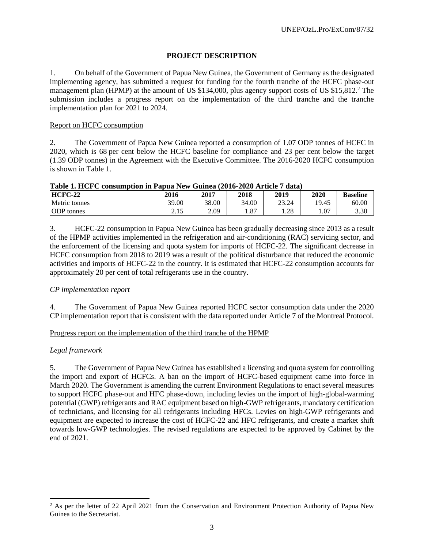# **PROJECT DESCRIPTION**

1. On behalf of the Government of Papua New Guinea, the Government of Germany as the designated implementing agency, has submitted a request for funding for the fourth tranche of the HCFC phase-out management plan (HPMP) at the amount of US \$134,000, plus agency support costs of US \$15,812.<sup>2</sup> The submission includes a progress report on the implementation of the third tranche and the tranche implementation plan for 2021 to 2024.

# Report on HCFC consumption

2. The Government of Papua New Guinea reported a consumption of 1.07 ODP tonnes of HCFC in 2020, which is 68 per cent below the HCFC baseline for compliance and 23 per cent below the target (1.39 ODP tonnes) in the Agreement with the Executive Committee. The 2016-2020 HCFC consumption is shown in Table 1.

| THUICH II ALL COMMUNISTIE IN THUR HOME ORINOR (WAT A WAY THERE I RIGHT |       |       |                              |       |       |                 |  |  |
|------------------------------------------------------------------------|-------|-------|------------------------------|-------|-------|-----------------|--|--|
| <b>HCFC-22</b>                                                         | 2016  | 2017  | 2018                         | 2019  | 2020  | <b>Baseline</b> |  |  |
| Metric tonnes                                                          | 39.00 | 38.00 | 34.00                        | 23.24 | 19.45 | 60.00           |  |  |
| <b>ODP</b> tonnes                                                      | ر     | 2.09  | $\Omega$<br>1.0 <sub>1</sub> | 1.28  | 1.07  | 3.30            |  |  |

|  |  | Table 1. HCFC consumption in Papua New Guinea (2016-2020 Article 7 data) |
|--|--|--------------------------------------------------------------------------|
|  |  |                                                                          |

3. HCFC-22 consumption in Papua New Guinea has been gradually decreasing since 2013 as a result of the HPMP activities implemented in the refrigeration and air-conditioning (RAC) servicing sector, and the enforcement of the licensing and quota system for imports of HCFC-22. The significant decrease in HCFC consumption from 2018 to 2019 was a result of the political disturbance that reduced the economic activities and imports of HCFC-22 in the country. It is estimated that HCFC-22 consumption accounts for approximately 20 per cent of total refrigerants use in the country.

# *CP implementation report*

4. The Government of Papua New Guinea reported HCFC sector consumption data under the 2020 CP implementation report that is consistent with the data reported under Article 7 of the Montreal Protocol.

Progress report on the implementation of the third tranche of the HPMP

# *Legal framework*

l

5. The Government of Papua New Guinea has established a licensing and quota system for controlling the import and export of HCFCs. A ban on the import of HCFC-based equipment came into force in March 2020. The Government is amending the current Environment Regulations to enact several measures to support HCFC phase-out and HFC phase-down, including levies on the import of high-global-warming potential (GWP) refrigerants and RAC equipment based on high-GWP refrigerants, mandatory certification of technicians, and licensing for all refrigerants including HFCs. Levies on high-GWP refrigerants and equipment are expected to increase the cost of HCFC-22 and HFC refrigerants, and create a market shift towards low-GWP technologies. The revised regulations are expected to be approved by Cabinet by the end of 2021.

<sup>&</sup>lt;sup>2</sup> As per the letter of 22 April 2021 from the Conservation and Environment Protection Authority of Papua New Guinea to the Secretariat.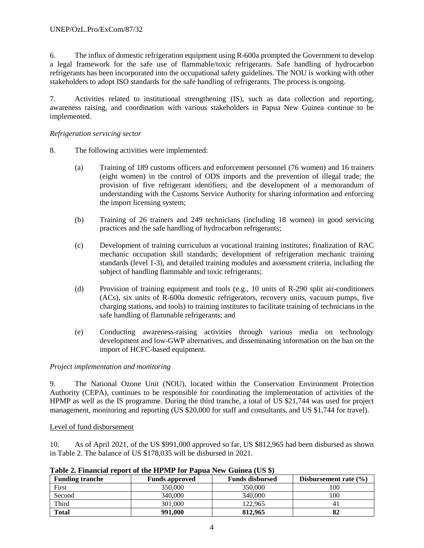6. The influx of domestic refrigeration equipment using R-600a prompted the Government to develop a legal framework for the safe use of flammable/toxic refrigerants. Safe handling of hydrocarbon refrigerants has been incorporated into the occupational safety guidelines. The NOU is working with other stakeholders to adopt ISO standards for the safe handling of refrigerants. The process is ongoing.

7. Activities related to institutional strengthening (IS), such as data collection and reporting, awareness raising, and coordination with various stakeholders in Papua New Guinea continue to be implemented.

# *Refrigeration servicing sector*

- 8. The following activities were implemented:
	- (a) Training of 189 customs officers and enforcement personnel (76 women) and 16 trainers (eight women) in the control of ODS imports and the prevention of illegal trade; the provision of five refrigerant identifiers; and the development of a memorandum of understanding with the Customs Service Authority for sharing information and enforcing the import licensing system;
	- (b) Training of 26 trainers and 249 technicians (including 18 women) in good servicing practices and the safe handling of hydrocarbon refrigerants;
	- (c) Development of training curriculum at vocational training institutes; finalization of RAC mechanic occupation skill standards; development of refrigeration mechanic training standards (level 1-3), and detailed training modules and assessment criteria, including the subject of handling flammable and toxic refrigerants;
	- (d) Provision of training equipment and tools (e.g., 10 units of R-290 split air-conditioners (ACs), six units of R-600a domestic refrigerators, recovery units, vacuum pumps, five charging stations, and tools) to training institutes to facilitate training of technicians in the safe handling of flammable refrigerants; and
	- (e) Conducting awareness-raising activities through various media on technology development and low-GWP alternatives, and disseminating information on the ban on the import of HCFC-based equipment.

# *Project implementation and monitoring*

9. The National Ozone Unit (NOU), located within the Conservation Environment Protection Authority (CEPA), continues to be responsible for coordinating the implementation of activities of the HPMP as well as the IS programme. During the third tranche, a total of US \$21,744 was used for project management, monitoring and reporting (US \$20,000 for staff and consultants, and US \$1,744 for travel).

# Level of fund disbursement

10. As of April 2021, of the US \$991,000 approved so far, US \$812,965 had been disbursed as shown in Table 2. The balance of US \$178,035 will be disbursed in 2021.

| <b>Funding tranche</b> | <b>Funds approved</b> | <b>Funds disbursed</b> | Disbursement rate $(\% )$ |
|------------------------|-----------------------|------------------------|---------------------------|
| First                  | 350,000               | 350,000                | 100                       |
| Second                 | 340,000               | 340,000                | 100                       |
| Third                  | 301,000               | 122.965                |                           |
| <b>Total</b>           | 991.000               | 812,965                |                           |

**Table 2. Financial report of the HPMP for Papua New Guinea (US \$)**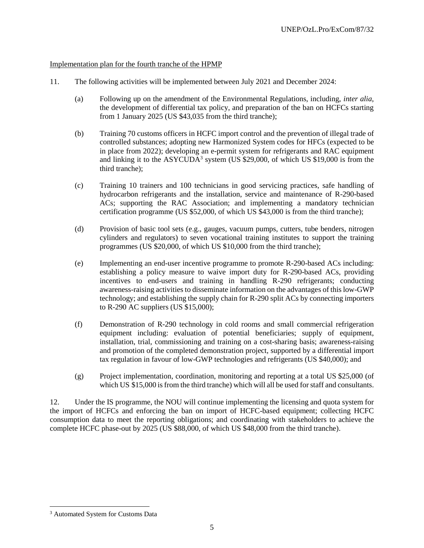# Implementation plan for the fourth tranche of the HPMP

- 11. The following activities will be implemented between July 2021 and December 2024:
	- (a) Following up on the amendment of the Environmental Regulations, including, *inter alia*, the development of differential tax policy, and preparation of the ban on HCFCs starting from 1 January 2025 (US \$43,035 from the third tranche);
	- (b) Training 70 customs officers in HCFC import control and the prevention of illegal trade of controlled substances; adopting new Harmonized System codes for HFCs (expected to be in place from 2022); developing an e-permit system for refrigerants and RAC equipment and linking it to the  $ASYCUDA^3$  system (US \$29,000, of which US \$19,000 is from the third tranche);
	- (c) Training 10 trainers and 100 technicians in good servicing practices, safe handling of hydrocarbon refrigerants and the installation, service and maintenance of R-290-based ACs; supporting the RAC Association; and implementing a mandatory technician certification programme (US \$52,000, of which US \$43,000 is from the third tranche);
	- (d) Provision of basic tool sets (e.g., gauges, vacuum pumps, cutters, tube benders, nitrogen cylinders and regulators) to seven vocational training institutes to support the training programmes (US \$20,000, of which US \$10,000 from the third tranche);
	- (e) Implementing an end-user incentive programme to promote R-290-based ACs including: establishing a policy measure to waive import duty for R-290-based ACs, providing incentives to end-users and training in handling R-290 refrigerants; conducting awareness-raising activities to disseminate information on the advantages of this low-GWP technology; and establishing the supply chain for R-290 split ACs by connecting importers to R-290 AC suppliers (US \$15,000);
	- (f) Demonstration of R-290 technology in cold rooms and small commercial refrigeration equipment including: evaluation of potential beneficiaries; supply of equipment, installation, trial, commissioning and training on a cost-sharing basis; awareness-raising and promotion of the completed demonstration project, supported by a differential import tax regulation in favour of low-GWP technologies and refrigerants (US \$40,000); and
	- (g) Project implementation, coordination, monitoring and reporting at a total US \$25,000 (of which US \$15,000 is from the third tranche) which will all be used for staff and consultants.

12. Under the IS programme, the NOU will continue implementing the licensing and quota system for the import of HCFCs and enforcing the ban on import of HCFC-based equipment; collecting HCFC consumption data to meet the reporting obligations; and coordinating with stakeholders to achieve the complete HCFC phase-out by 2025 (US \$88,000, of which US \$48,000 from the third tranche).

 $\overline{a}$ 

<sup>&</sup>lt;sup>3</sup> Automated System for Customs Data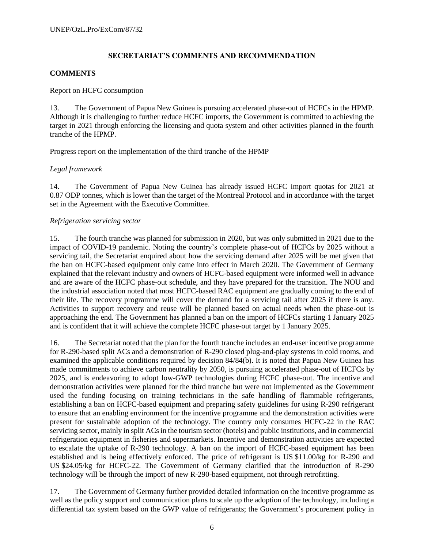# **SECRETARIAT'S COMMENTS AND RECOMMENDATION**

#### **COMMENTS**

#### Report on HCFC consumption

13. The Government of Papua New Guinea is pursuing accelerated phase-out of HCFCs in the HPMP. Although it is challenging to further reduce HCFC imports, the Government is committed to achieving the target in 2021 through enforcing the licensing and quota system and other activities planned in the fourth tranche of the HPMP.

#### Progress report on the implementation of the third tranche of the HPMP

#### *Legal framework*

14. The Government of Papua New Guinea has already issued HCFC import quotas for 2021 at 0.87 ODP tonnes, which is lower than the target of the Montreal Protocol and in accordance with the target set in the Agreement with the Executive Committee.

#### *Refrigeration servicing sector*

15. The fourth tranche was planned for submission in 2020, but was only submitted in 2021 due to the impact of COVID-19 pandemic. Noting the country's complete phase-out of HCFCs by 2025 without a servicing tail, the Secretariat enquired about how the servicing demand after 2025 will be met given that the ban on HCFC-based equipment only came into effect in March 2020. The Government of Germany explained that the relevant industry and owners of HCFC-based equipment were informed well in advance and are aware of the HCFC phase-out schedule, and they have prepared for the transition. The NOU and the industrial association noted that most HCFC-based RAC equipment are gradually coming to the end of their life. The recovery programme will cover the demand for a servicing tail after 2025 if there is any. Activities to support recovery and reuse will be planned based on actual needs when the phase-out is approaching the end. The Government has planned a ban on the import of HCFCs starting 1 January 2025 and is confident that it will achieve the complete HCFC phase-out target by 1 January 2025.

16. The Secretariat noted that the plan for the fourth tranche includes an end-user incentive programme for R-290-based split ACs and a demonstration of R-290 closed plug-and-play systems in cold rooms, and examined the applicable conditions required by decision 84/84(b). It is noted that Papua New Guinea has made commitments to achieve carbon neutrality by 2050, is pursuing accelerated phase-out of HCFCs by 2025, and is endeavoring to adopt low-GWP technologies during HCFC phase-out. The incentive and demonstration activities were planned for the third tranche but were not implemented as the Government used the funding focusing on training technicians in the safe handling of flammable refrigerants, establishing a ban on HCFC-based equipment and preparing safety guidelines for using R-290 refrigerant to ensure that an enabling environment for the incentive programme and the demonstration activities were present for sustainable adoption of the technology. The country only consumes HCFC-22 in the RAC servicing sector, mainly in split ACs in the tourism sector (hotels) and public institutions, and in commercial refrigeration equipment in fisheries and supermarkets. Incentive and demonstration activities are expected to escalate the uptake of R-290 technology. A ban on the import of HCFC-based equipment has been established and is being effectively enforced. The price of refrigerant is US \$11.00/kg for R-290 and US \$24.05/kg for HCFC-22. The Government of Germany clarified that the introduction of R-290 technology will be through the import of new R-290-based equipment, not through retrofitting.

17. The Government of Germany further provided detailed information on the incentive programme as well as the policy support and communication plans to scale up the adoption of the technology, including a differential tax system based on the GWP value of refrigerants; the Government's procurement policy in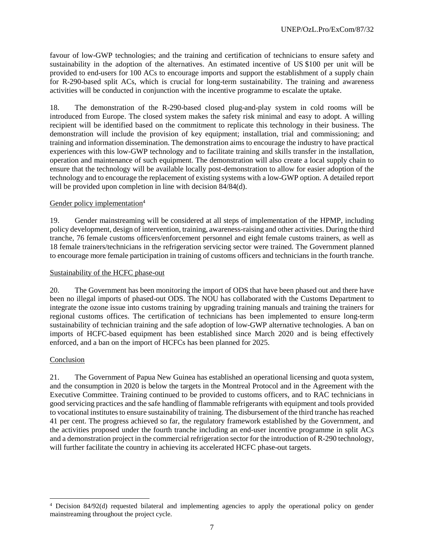favour of low-GWP technologies; and the training and certification of technicians to ensure safety and sustainability in the adoption of the alternatives. An estimated incentive of US \$100 per unit will be provided to end-users for 100 ACs to encourage imports and support the establishment of a supply chain for R-290-based split ACs, which is crucial for long-term sustainability. The training and awareness activities will be conducted in conjunction with the incentive programme to escalate the uptake.

18. The demonstration of the R-290-based closed plug-and-play system in cold rooms will be introduced from Europe. The closed system makes the safety risk minimal and easy to adopt. A willing recipient will be identified based on the commitment to replicate this technology in their business. The demonstration will include the provision of key equipment; installation, trial and commissioning; and training and information dissemination. The demonstration aims to encourage the industry to have practical experiences with this low-GWP technology and to facilitate training and skills transfer in the installation, operation and maintenance of such equipment. The demonstration will also create a local supply chain to ensure that the technology will be available locally post-demonstration to allow for easier adoption of the technology and to encourage the replacement of existing systems with a low-GWP option. A detailed report will be provided upon completion in line with decision  $84/84$ (d).

# Gender policy implementation<sup>4</sup>

19. Gender mainstreaming will be considered at all steps of implementation of the HPMP, including policy development, design of intervention, training, awareness-raising and other activities. During the third tranche, 76 female customs officers/enforcement personnel and eight female customs trainers, as well as 18 female trainers/technicians in the refrigeration servicing sector were trained. The Government planned to encourage more female participation in training of customs officers and technicians in the fourth tranche.

# Sustainability of the HCFC phase-out

20. The Government has been monitoring the import of ODS that have been phased out and there have been no illegal imports of phased-out ODS. The NOU has collaborated with the Customs Department to integrate the ozone issue into customs training by upgrading training manuals and training the trainers for regional customs offices. The certification of technicians has been implemented to ensure long-term sustainability of technician training and the safe adoption of low-GWP alternative technologies. A ban on imports of HCFC-based equipment has been established since March 2020 and is being effectively enforced, and a ban on the import of HCFCs has been planned for 2025.

# Conclusion

l

21. The Government of Papua New Guinea has established an operational licensing and quota system, and the consumption in 2020 is below the targets in the Montreal Protocol and in the Agreement with the Executive Committee. Training continued to be provided to customs officers, and to RAC technicians in good servicing practices and the safe handling of flammable refrigerants with equipment and tools provided to vocational institutes to ensure sustainability of training. The disbursement of the third tranche has reached 41 per cent. The progress achieved so far, the regulatory framework established by the Government, and the activities proposed under the fourth tranche including an end-user incentive programme in split ACs and a demonstration project in the commercial refrigeration sector for the introduction of R-290 technology, will further facilitate the country in achieving its accelerated HCFC phase-out targets.

<sup>&</sup>lt;sup>4</sup> Decision 84/92(d) requested bilateral and implementing agencies to apply the operational policy on gender mainstreaming throughout the project cycle.